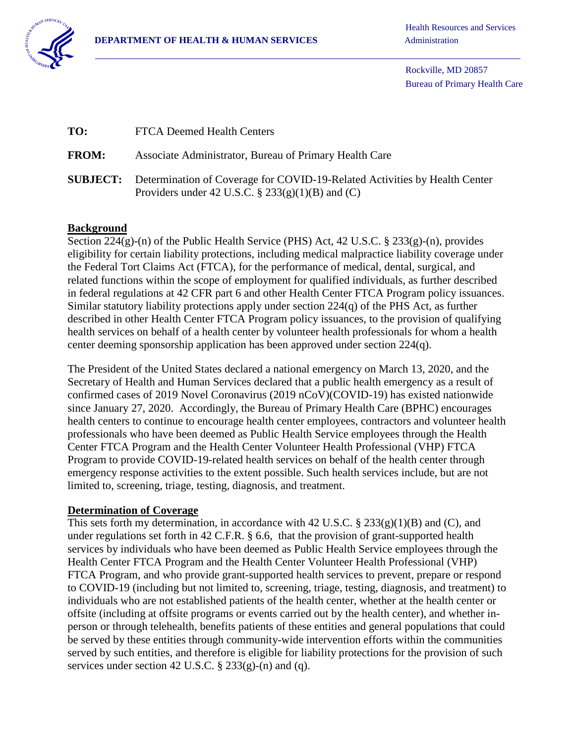

Rockville, MD 20857 Bureau of Primary Health Care

| TO:          | <b>FTCA Deemed Health Centers</b>                                                                                                                |
|--------------|--------------------------------------------------------------------------------------------------------------------------------------------------|
| <b>FROM:</b> | Associate Administrator, Bureau of Primary Health Care                                                                                           |
|              | <b>SUBJECT:</b> Determination of Coverage for COVID-19-Related Activities by Health Center<br>Providers under 42 U.S.C. § $233(g)(1)(B)$ and (C) |

## **Background**

Section 224(g)-(n) of the Public Health Service (PHS) Act, 42 U.S.C. § 233(g)-(n), provides eligibility for certain liability protections, including medical malpractice liability coverage under the Federal Tort Claims Act (FTCA), for the performance of medical, dental, surgical, and related functions within the scope of employment for qualified individuals, as further described in federal regulations at 42 CFR part 6 and other Health Center FTCA Program policy issuances. Similar statutory liability protections apply under section 224(q) of the PHS Act, as further described in other Health Center FTCA Program policy issuances, to the provision of qualifying health services on behalf of a health center by volunteer health professionals for whom a health center deeming sponsorship application has been approved under section 224(q).

The President of the United States declared a national emergency on March 13, 2020, and the Secretary of Health and Human Services declared that a public health emergency as a result of confirmed cases of 2019 Novel Coronavirus (2019 nCoV)(COVID-19) has existed nationwide since January 27, 2020. Accordingly, the Bureau of Primary Health Care (BPHC) encourages health centers to continue to encourage health center employees, contractors and volunteer health professionals who have been deemed as Public Health Service employees through the Health Center FTCA Program and the Health Center Volunteer Health Professional (VHP) FTCA Program to provide COVID-19-related health services on behalf of the health center through emergency response activities to the extent possible. Such health services include, but are not limited to, screening, triage, testing, diagnosis, and treatment.

## **Determination of Coverage**

This sets forth my determination, in accordance with 42 U.S.C. § 233(g)(1)(B) and (C), and under regulations set forth in 42 C.F.R. § 6.6, that the provision of grant-supported health services by individuals who have been deemed as Public Health Service employees through the Health Center FTCA Program and the Health Center Volunteer Health Professional (VHP) FTCA Program, and who provide grant-supported health services to prevent, prepare or respond to COVID-19 (including but not limited to, screening, triage, testing, diagnosis, and treatment) to individuals who are not established patients of the health center, whether at the health center or offsite (including at offsite programs or events carried out by the health center), and whether inperson or through telehealth, benefits patients of these entities and general populations that could be served by these entities through community-wide intervention efforts within the communities served by such entities, and therefore is eligible for liability protections for the provision of such services under section 42 U.S.C.  $\S$  233(g)-(n) and (q).